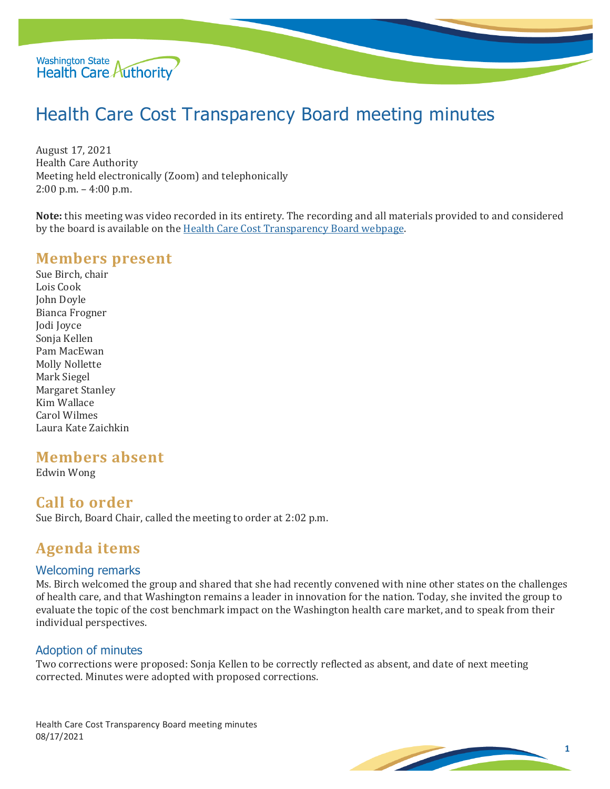

# Health Care Cost Transparency Board meeting minutes

August 17, 2021 Health Care Authority Meeting held electronically (Zoom) and telephonically 2:00 p.m. – 4:00 p.m.

**Note:** this meeting was video recorded in its entirety. The recording and all materials provided to and considered by the board is available on the [Health Care Cost Transparency Board webpage.](https://www.hca.wa.gov/about-hca/health-care-cost-transparency-board)

## **Members present**

Sue Birch, chair Lois Cook John Doyle Bianca Frogner Jodi Joyce Sonja Kellen Pam MacEwan Molly Nollette Mark Siegel Margaret Stanley Kim Wallace Carol Wilmes Laura Kate Zaichkin

# **Members absent**

Edwin Wong

# **Call to order**

Sue Birch, Board Chair, called the meeting to order at 2:02 p.m.

# **Agenda items**

#### Welcoming remarks

Ms. Birch welcomed the group and shared that she had recently convened with nine other states on the challenges of health care, and that Washington remains a leader in innovation for the nation. Today, she invited the group to evaluate the topic of the cost benchmark impact on the Washington health care market, and to speak from their individual perspectives.

#### Adoption of minutes

Two corrections were proposed: Sonja Kellen to be correctly reflected as absent, and date of next meeting corrected. Minutes were adopted with proposed corrections.

Health Care Cost Transparency Board meeting minutes 08/17/2021

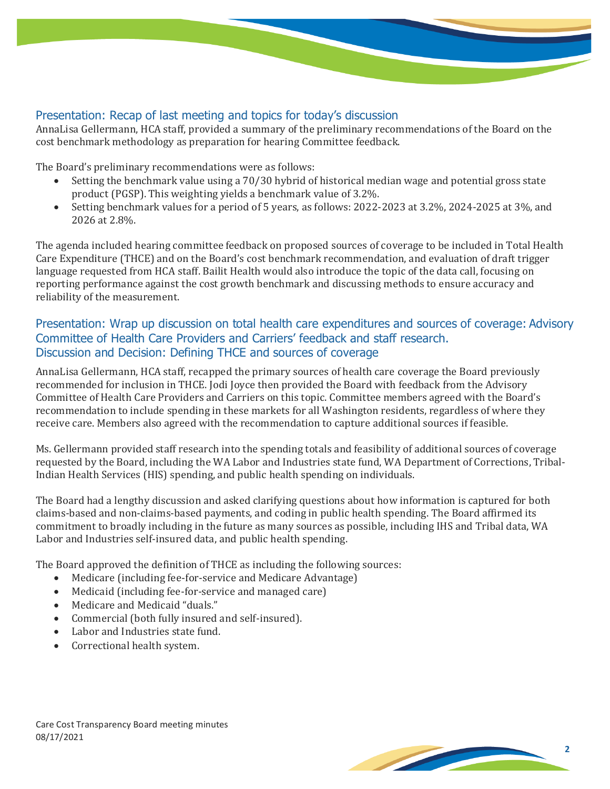## Presentation: Recap of last meeting and topics for today's discussion

AnnaLisa Gellermann, HCA staff, provided a summary of the preliminary recommendations of the Board on the cost benchmark methodology as preparation for hearing Committee feedback.

The Board's preliminary recommendations were as follows:

- Setting the benchmark value using a 70/30 hybrid of historical median wage and potential gross state product (PGSP). This weighting yields a benchmark value of 3.2%.
- Setting benchmark values for a period of 5 years, as follows: 2022-2023 at 3.2%, 2024-2025 at 3%, and 2026 at 2.8%.

The agenda included hearing committee feedback on proposed sources of coverage to be included in Total Health Care Expenditure (THCE) and on the Board's cost benchmark recommendation, and evaluation of draft trigger language requested from HCA staff. Bailit Health would also introduce the topic of the data call, focusing on reporting performance against the cost growth benchmark and discussing methods to ensure accuracy and reliability of the measurement.

## Presentation: Wrap up discussion on total health care expenditures and sources of coverage: Advisory Committee of Health Care Providers and Carriers' feedback and staff research. Discussion and Decision: Defining THCE and sources of coverage

AnnaLisa Gellermann, HCA staff, recapped the primary sources of health care coverage the Board previously recommended for inclusion in THCE. Jodi Joyce then provided the Board with feedback from the Advisory Committee of Health Care Providers and Carriers on this topic. Committee members agreed with the Board's recommendation to include spending in these markets for all Washington residents, regardless of where they receive care. Members also agreed with the recommendation to capture additional sources if feasible.

Ms. Gellermann provided staff research into the spending totals and feasibility of additional sources of coverage requested by the Board, including the WA Labor and Industries state fund, WA Department of Corrections, Tribal-Indian Health Services (HIS) spending, and public health spending on individuals.

The Board had a lengthy discussion and asked clarifying questions about how information is captured for both claims-based and non-claims-based payments, and coding in public health spending. The Board affirmed its commitment to broadly including in the future as many sources as possible, including IHS and Tribal data, WA Labor and Industries self-insured data, and public health spending.

The Board approved the definition of THCE as including the following sources:<br>• Medicare (including fee-for-service and Medicare Advantage)

- Medicare (including fee-for-service and Medicare Advantage)
- Medicaid (including fee-for-service and managed care)
- Medicare and Medicaid "duals."
- Commercial (both fully insured and self-insured).
- Labor and Industries state fund.
- Correctional health system.

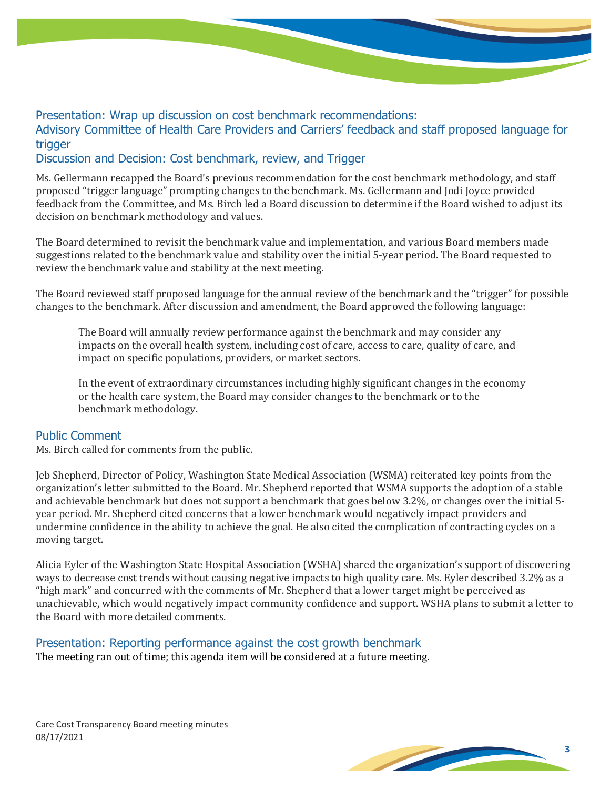Presentation: Wrap up discussion on cost benchmark recommendations:

Advisory Committee of Health Care Providers and Carriers' feedback and staff proposed language for trigger

#### Discussion and Decision: Cost benchmark, review, and Trigger

Ms. Gellermann recapped the Board's previous recommendation for the cost benchmark methodology, and staff proposed "trigger language" prompting changes to the benchmark. Ms. Gellermann and Jodi Joyce provided feedback from the Committee, and Ms. Birch led a Board discussion to determine if the Board wished to adjust its decision on benchmark methodology and values.

The Board determined to revisit the benchmark value and implementation, and various Board members made suggestions related to the benchmark value and stability over the initial 5-year period. The Board requested to review the benchmark value and stability at the next meeting.

The Board reviewed staff proposed language for the annual review of the benchmark and the "trigger" for possible changes to the benchmark. After discussion and amendment, the Board approved the following language:

The Board will annually review performance against the benchmark and may consider any impacts on the overall health system, including cost of care, access to care, quality of care, and impact on specific populations, providers, or market sectors.

In the event of extraordinary circumstances including highly significant changes in the economy or the health care system, the Board may consider changes to the benchmark or to the benchmark methodology.

#### Public Comment

Ms. Birch called for comments from the public.

Jeb Shepherd, Director of Policy, Washington State Medical Association (WSMA) reiterated key points from the organization's letter submitted to the Board. Mr. Shepherd reported that WSMA supports the adoption of a stable and achievable benchmark but does not support a benchmark that goes below 3.2%, or changes over the initial 5 year period. Mr. Shepherd cited concerns that a lower benchmark would negatively impact providers and undermine confidence in the ability to achieve the goal. He also cited the complication of contracting cycles on a moving target.

Alicia Eyler of the Washington State Hospital Association (WSHA) shared the organization's support of discovering ways to decrease cost trends without causing negative impacts to high quality care. Ms. Eyler described 3.2% as a "high mark" and concurred with the comments of Mr. Shepherd that a lower target might be perceived as unachievable, which would negatively impact community confidence and support. WSHA plans to submit a letter to the Board with more detailed comments.

# Presentation: Reporting performance against the cost growth benchmark

The meeting ran out of time; this agenda item will be considered at a future meeting.